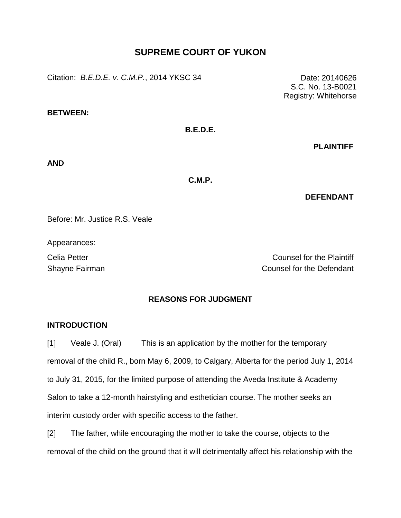# **SUPREME COURT OF YUKON**

Citation: *B.E.D.E. v. C.M.P.*, 2014 YKSC 34 Date: 20140626

**BETWEEN:**

# **B.E.D.E.**

**PLAINTIFF**

**AND**

**C.M.P.**

### **DEFENDANT**

Before: Mr. Justice R.S. Veale

Appearances:

Celia Petter Counsel for the Plaintiff Shayne Fairman Counsel for the Defendant

# **REASONS FOR JUDGMENT**

## **INTRODUCTION**

[1] Veale J. (Oral) This is an application by the mother for the temporary removal of the child R., born May 6, 2009, to Calgary, Alberta for the period July 1, 2014 to July 31, 2015, for the limited purpose of attending the Aveda Institute & Academy Salon to take a 12-month hairstyling and esthetician course. The mother seeks an interim custody order with specific access to the father.

[2] The father, while encouraging the mother to take the course, objects to the removal of the child on the ground that it will detrimentally affect his relationship with the

S.C. No. 13-B0021 Registry: Whitehorse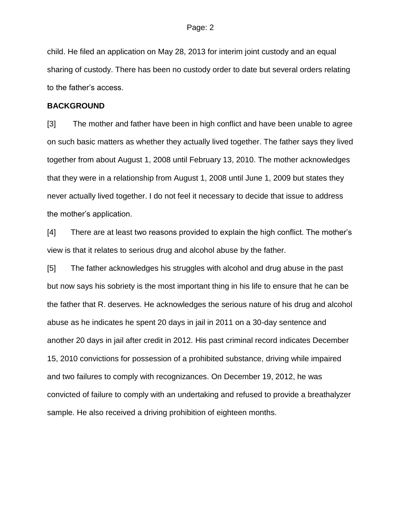child. He filed an application on May 28, 2013 for interim joint custody and an equal sharing of custody. There has been no custody order to date but several orders relating to the father's access.

### **BACKGROUND**

[3] The mother and father have been in high conflict and have been unable to agree on such basic matters as whether they actually lived together. The father says they lived together from about August 1, 2008 until February 13, 2010. The mother acknowledges that they were in a relationship from August 1, 2008 until June 1, 2009 but states they never actually lived together. I do not feel it necessary to decide that issue to address the mother's application.

[4] There are at least two reasons provided to explain the high conflict. The mother's view is that it relates to serious drug and alcohol abuse by the father.

[5] The father acknowledges his struggles with alcohol and drug abuse in the past but now says his sobriety is the most important thing in his life to ensure that he can be the father that R. deserves. He acknowledges the serious nature of his drug and alcohol abuse as he indicates he spent 20 days in jail in 2011 on a 30-day sentence and another 20 days in jail after credit in 2012. His past criminal record indicates December 15, 2010 convictions for possession of a prohibited substance, driving while impaired and two failures to comply with recognizances. On December 19, 2012, he was convicted of failure to comply with an undertaking and refused to provide a breathalyzer sample. He also received a driving prohibition of eighteen months.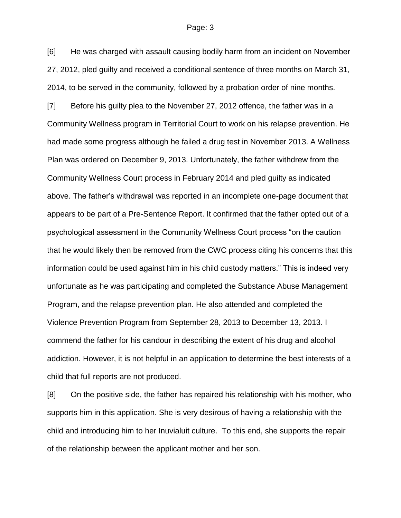[6] He was charged with assault causing bodily harm from an incident on November 27, 2012, pled guilty and received a conditional sentence of three months on March 31, 2014, to be served in the community, followed by a probation order of nine months.

[7] Before his guilty plea to the November 27, 2012 offence, the father was in a Community Wellness program in Territorial Court to work on his relapse prevention. He had made some progress although he failed a drug test in November 2013. A Wellness Plan was ordered on December 9, 2013. Unfortunately, the father withdrew from the Community Wellness Court process in February 2014 and pled guilty as indicated above. The father's withdrawal was reported in an incomplete one-page document that appears to be part of a Pre-Sentence Report. It confirmed that the father opted out of a psychological assessment in the Community Wellness Court process "on the caution that he would likely then be removed from the CWC process citing his concerns that this information could be used against him in his child custody matters." This is indeed very unfortunate as he was participating and completed the Substance Abuse Management Program, and the relapse prevention plan. He also attended and completed the Violence Prevention Program from September 28, 2013 to December 13, 2013. I commend the father for his candour in describing the extent of his drug and alcohol addiction. However, it is not helpful in an application to determine the best interests of a child that full reports are not produced.

[8] On the positive side, the father has repaired his relationship with his mother, who supports him in this application. She is very desirous of having a relationship with the child and introducing him to her Inuvialuit culture. To this end, she supports the repair of the relationship between the applicant mother and her son.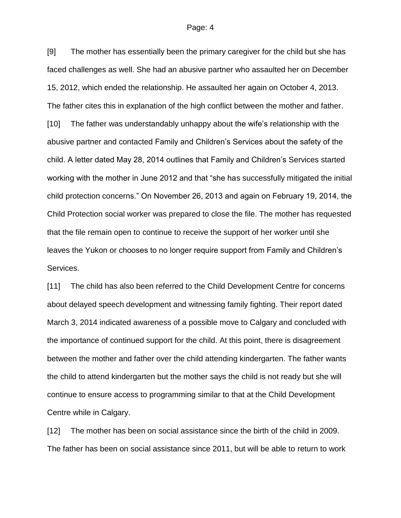[9] The mother has essentially been the primary caregiver for the child but she has faced challenges as well. She had an abusive partner who assaulted her on December 15, 2012, which ended the relationship. He assaulted her again on October 4, 2013. The father cites this in explanation of the high conflict between the mother and father. [10] The father was understandably unhappy about the wife's relationship with the abusive partner and contacted Family and Children's Services about the safety of the child. A letter dated May 28, 2014 outlines that Family and Children's Services started working with the mother in June 2012 and that "she has successfully mitigated the initial child protection concerns." On November 26, 2013 and again on February 19, 2014, the Child Protection social worker was prepared to close the file. The mother has requested that the file remain open to continue to receive the support of her worker until she leaves the Yukon or chooses to no longer require support from Family and Children's Services.

[11] The child has also been referred to the Child Development Centre for concerns about delayed speech development and witnessing family fighting. Their report dated March 3, 2014 indicated awareness of a possible move to Calgary and concluded with the importance of continued support for the child. At this point, there is disagreement between the mother and father over the child attending kindergarten. The father wants the child to attend kindergarten but the mother says the child is not ready but she will continue to ensure access to programming similar to that at the Child Development Centre while in Calgary.

[12] The mother has been on social assistance since the birth of the child in 2009. The father has been on social assistance since 2011, but will be able to return to work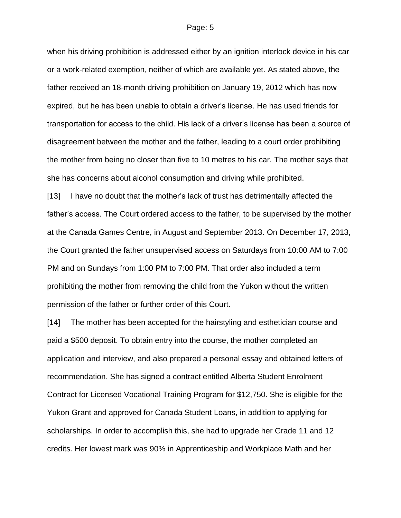when his driving prohibition is addressed either by an ignition interlock device in his car or a work-related exemption, neither of which are available yet. As stated above, the father received an 18-month driving prohibition on January 19, 2012 which has now expired, but he has been unable to obtain a driver's license. He has used friends for transportation for access to the child. His lack of a driver's license has been a source of disagreement between the mother and the father, leading to a court order prohibiting the mother from being no closer than five to 10 metres to his car. The mother says that she has concerns about alcohol consumption and driving while prohibited.

[13] I have no doubt that the mother's lack of trust has detrimentally affected the father's access. The Court ordered access to the father, to be supervised by the mother at the Canada Games Centre, in August and September 2013. On December 17, 2013, the Court granted the father unsupervised access on Saturdays from 10:00 AM to 7:00 PM and on Sundays from 1:00 PM to 7:00 PM. That order also included a term prohibiting the mother from removing the child from the Yukon without the written permission of the father or further order of this Court.

[14] The mother has been accepted for the hairstyling and esthetician course and paid a \$500 deposit. To obtain entry into the course, the mother completed an application and interview, and also prepared a personal essay and obtained letters of recommendation. She has signed a contract entitled Alberta Student Enrolment Contract for Licensed Vocational Training Program for \$12,750. She is eligible for the Yukon Grant and approved for Canada Student Loans, in addition to applying for scholarships. In order to accomplish this, she had to upgrade her Grade 11 and 12 credits. Her lowest mark was 90% in Apprenticeship and Workplace Math and her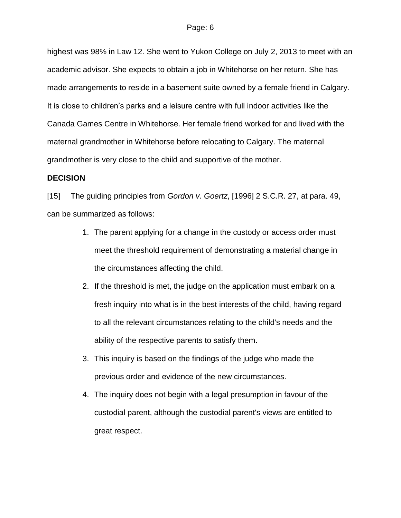highest was 98% in Law 12. She went to Yukon College on July 2, 2013 to meet with an academic advisor. She expects to obtain a job in Whitehorse on her return. She has made arrangements to reside in a basement suite owned by a female friend in Calgary. It is close to children's parks and a leisure centre with full indoor activities like the Canada Games Centre in Whitehorse. Her female friend worked for and lived with the maternal grandmother in Whitehorse before relocating to Calgary. The maternal grandmother is very close to the child and supportive of the mother.

### **DECISION**

[15] The guiding principles from *Gordon v. Goertz*, [1996] 2 S.C.R. 27, at para. 49, can be summarized as follows:

- 1. The parent applying for a change in the custody or access order must meet the threshold requirement of demonstrating a material change in the circumstances affecting the child.
- 2. If the threshold is met, the judge on the application must embark on a fresh inquiry into what is in the best interests of the child, having regard to all the relevant circumstances relating to the child's needs and the ability of the respective parents to satisfy them.
- 3. This inquiry is based on the findings of the judge who made the previous order and evidence of the new circumstances.
- 4. The inquiry does not begin with a legal presumption in favour of the custodial parent, although the custodial parent's views are entitled to great respect.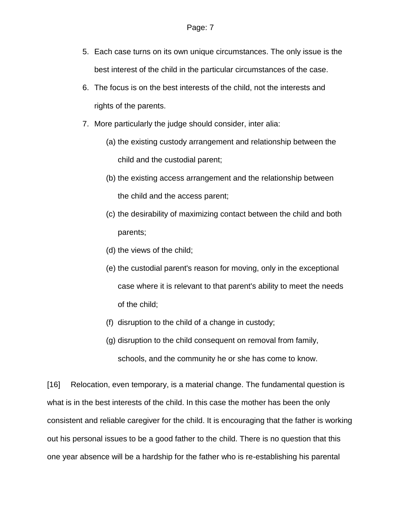- 5. Each case turns on its own unique circumstances. The only issue is the best interest of the child in the particular circumstances of the case.
- 6. The focus is on the best interests of the child, not the interests and rights of the parents.
- 7. More particularly the judge should consider, inter alia:
	- (a) the existing custody arrangement and relationship between the child and the custodial parent;
	- (b) the existing access arrangement and the relationship between the child and the access parent;
	- (c) the desirability of maximizing contact between the child and both parents;
	- (d) the views of the child;
	- (e) the custodial parent's reason for moving, only in the exceptional case where it is relevant to that parent's ability to meet the needs of the child;
	- (f) disruption to the child of a change in custody;
	- (g) disruption to the child consequent on removal from family, schools, and the community he or she has come to know.

[16] Relocation, even temporary, is a material change. The fundamental question is what is in the best interests of the child. In this case the mother has been the only consistent and reliable caregiver for the child. It is encouraging that the father is working out his personal issues to be a good father to the child. There is no question that this one year absence will be a hardship for the father who is re-establishing his parental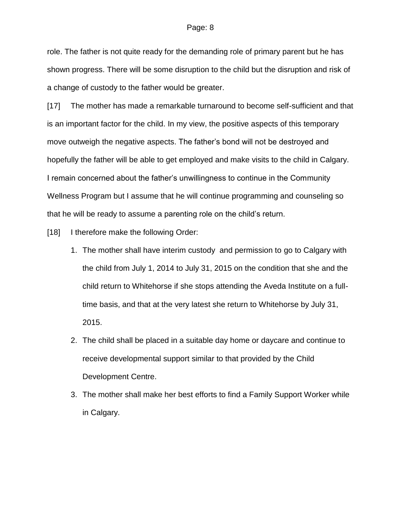role. The father is not quite ready for the demanding role of primary parent but he has shown progress. There will be some disruption to the child but the disruption and risk of a change of custody to the father would be greater.

[17] The mother has made a remarkable turnaround to become self-sufficient and that is an important factor for the child. In my view, the positive aspects of this temporary move outweigh the negative aspects. The father's bond will not be destroyed and hopefully the father will be able to get employed and make visits to the child in Calgary. I remain concerned about the father's unwillingness to continue in the Community Wellness Program but I assume that he will continue programming and counseling so that he will be ready to assume a parenting role on the child's return.

[18] I therefore make the following Order:

- 1. The mother shall have interim custody and permission to go to Calgary with the child from July 1, 2014 to July 31, 2015 on the condition that she and the child return to Whitehorse if she stops attending the Aveda Institute on a fulltime basis, and that at the very latest she return to Whitehorse by July 31, 2015.
- 2. The child shall be placed in a suitable day home or daycare and continue to receive developmental support similar to that provided by the Child Development Centre.
- 3. The mother shall make her best efforts to find a Family Support Worker while in Calgary.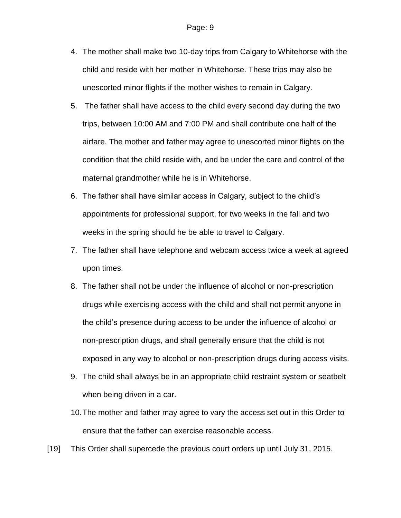- 4. The mother shall make two 10-day trips from Calgary to Whitehorse with the child and reside with her mother in Whitehorse. These trips may also be unescorted minor flights if the mother wishes to remain in Calgary.
- 5. The father shall have access to the child every second day during the two trips, between 10:00 AM and 7:00 PM and shall contribute one half of the airfare. The mother and father may agree to unescorted minor flights on the condition that the child reside with, and be under the care and control of the maternal grandmother while he is in Whitehorse.
- 6. The father shall have similar access in Calgary, subject to the child's appointments for professional support, for two weeks in the fall and two weeks in the spring should he be able to travel to Calgary.
- 7. The father shall have telephone and webcam access twice a week at agreed upon times.
- 8. The father shall not be under the influence of alcohol or non-prescription drugs while exercising access with the child and shall not permit anyone in the child's presence during access to be under the influence of alcohol or non-prescription drugs, and shall generally ensure that the child is not exposed in any way to alcohol or non-prescription drugs during access visits.
- 9. The child shall always be in an appropriate child restraint system or seatbelt when being driven in a car.
- 10.The mother and father may agree to vary the access set out in this Order to ensure that the father can exercise reasonable access.
- [19] This Order shall supercede the previous court orders up until July 31, 2015.